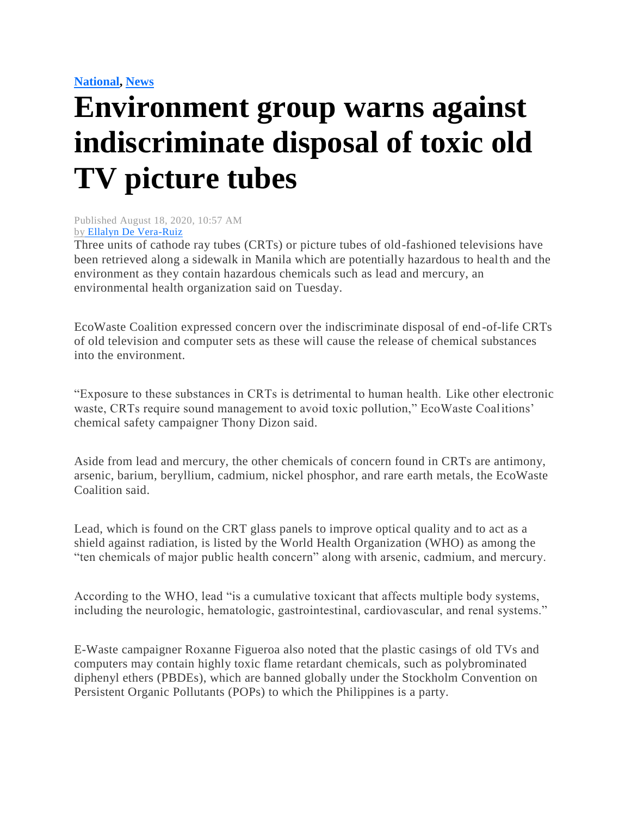## **[National,](https://mb.com.ph/category/news/national/) [News](https://mb.com.ph/category/news/)**

## **Environment group warns against indiscriminate disposal of toxic old TV picture tubes**

Published August 18, 2020, 10:57 AM by [Ellalyn De Vera-Ruiz](https://mb.com.ph/author/ellalyn-de-vera-ruiz)

Three units of cathode ray tubes (CRTs) or picture tubes of old-fashioned televisions have been retrieved along a sidewalk in Manila which are potentially hazardous to health and the environment as they contain hazardous chemicals such as lead and mercury, an environmental health organization said on Tuesday.

EcoWaste Coalition expressed concern over the indiscriminate disposal of end-of-life CRTs of old television and computer sets as these will cause the release of chemical substances into the environment.

"Exposure to these substances in CRTs is detrimental to human health. Like other electronic waste, CRTs require sound management to avoid toxic pollution," EcoWaste Coalitions' chemical safety campaigner Thony Dizon said.

Aside from lead and mercury, the other chemicals of concern found in CRTs are antimony, arsenic, barium, beryllium, cadmium, nickel phosphor, and rare earth metals, the EcoWaste Coalition said.

Lead, which is found on the CRT glass panels to improve optical quality and to act as a shield against radiation, is listed by the World Health Organization (WHO) as among the "ten chemicals of major public health concern" along with arsenic, cadmium, and mercury.

According to the WHO, lead "is a cumulative toxicant that affects multiple body systems, including the neurologic, hematologic, gastrointestinal, cardiovascular, and renal systems."

E-Waste campaigner Roxanne Figueroa also noted that the plastic casings of old TVs and computers may contain highly toxic flame retardant chemicals, such as polybrominated diphenyl ethers (PBDEs), which are banned globally under the Stockholm Convention on Persistent Organic Pollutants (POPs) to which the Philippines is a party.